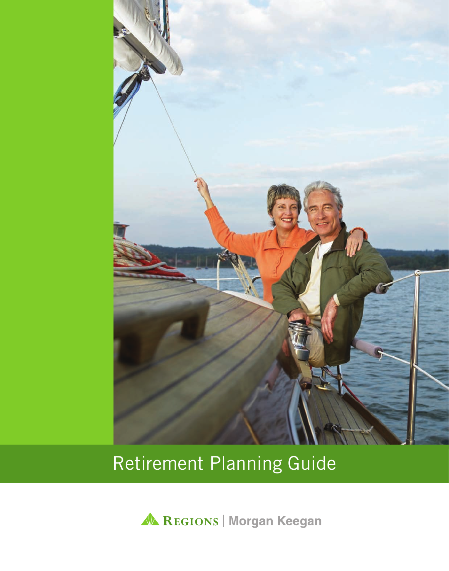

# Retirement Planning Guide

A REGIONS | Morgan Keegan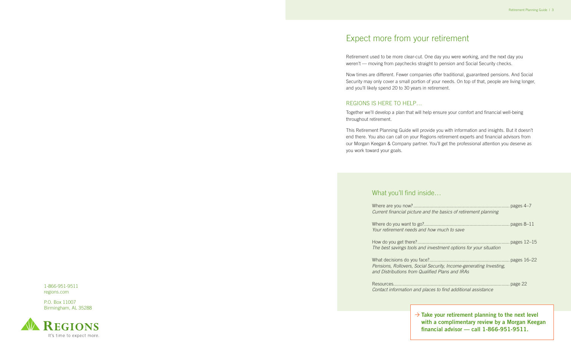## What you'll find inside…

Where are you now?................ *Current financial picture and the barrient* 

Where do you want to go?....... *Your retirement needs and how* 

How do you get there?............. *The best savings tools and inverther* 

What decisions do you face?... *Pensions, Rollovers, Social Sec and Distributions from Qualified Plans and IRAs*

Resources....................................................................................... page 22 *Contact information and places to find and places to final and places* 

Retirement used to be more clear-cut. One day you were working, and the next day you weren't — moving from paychecks straight to pension and Social Security checks.

## Expect more from your retirement

## $\rightarrow$  Take your retirement planning to the next level **with a complimentary review by a Morgan Keegan financial advisor — call 1-866-951-9511.**

Now times are different. Fewer companies offer traditional, guaranteed pensions. And Social Security may only cover a small portion of your needs. On top of that, people are living longer, and you'll likely spend 20 to 30 years in retirement.

## REGIONS IS HERE TO HELP…

Together we'll develop a plan that will help ensure your comfort and financial well-being throughout retirement.

This Retirement Planning Guide will provide you with information and insights. But it doesn't end there. You also can call on your Regions retirement experts and financial advisors from our Morgan Keegan & Company partner. You'll get the professional attention you deserve as you work toward your goals.

1-866-951-9511 regions.com

P.O. Box 11007 Birmingham, AL 35288



| the basics of retirement planning                         |  |
|-----------------------------------------------------------|--|
|                                                           |  |
| w much to save                                            |  |
| estment options for your situation                        |  |
| curity, Income-generating Investing,<br>ed Plans and IRAs |  |
| es to find additional assistance                          |  |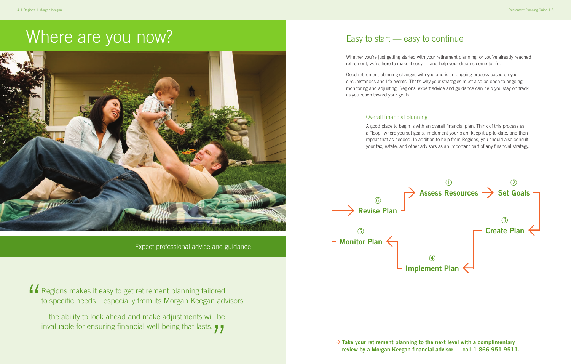## Easy to start — easy to continue

Whether you're just getting started with your retirement planning, or you've already reached retirement, we're here to make it easy — and help your dreams come to life.

Good retirement planning changes with you and is an ongoing process based on your circumstances and life events. That's why your strategies must also be open to ongoing monitoring and adjusting. Regions' expert advice and guidance can help you stay on track as you reach toward your goals.

…the ability to look ahead and make adjustments will be invaluable for ensuring financial well-being that lasts.  $\bigcup$ 

## Overall financial planning

 $\rightarrow$  Take your retirement planning to the next level with a complimentary **review by a Morgan Keegan financial advisor — call 1-866-951-9511.**

A good place to begin is with an overall financial plan. Think of this process as a "loop" where you set goals, implement your plan, keep it up-to-date, and then repeat that as needed. In addition to help from Regions, you should also consult your tax, estate, and other advisors as an important part of any financial strategy.

Expect professional advice and guidance

# Where are you now?



Regions makes it easy to get retirement planning tailored to specific needs…especially from its Morgan Keegan advisors… "

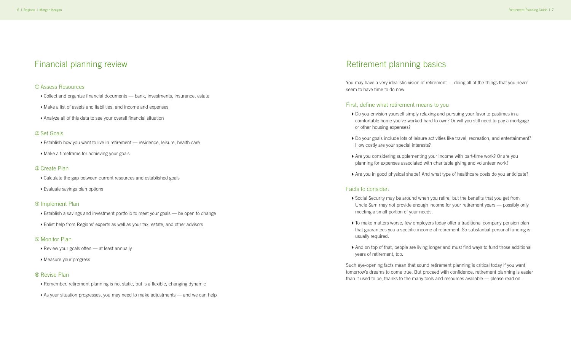## Retirement planning basics

You may have a very idealistic vision of retirement — doing all of the things that you never seem to have time to do now.

 $\triangleright$  Do you envision yourself simply relaxing and pursuing your favorite pastimes in a comfortable home you've worked hard to own? Or will you still need to pay a mortgage

▶ Do your goals include lots of leisure activities like travel, recreation, and entertainment?

## First, define what retirement means to you

▶ Social Security may be around when you retire, but the benefits that you get from Uncle Sam may not provide enough income for your retirement years — possibly only

- or other housing expenses?
- How costly are your special interests?
- planning for expenses associated with charitable giving and volunteer work?
- 

 $\triangleright$  To make matters worse, few employers today offer a traditional company pension plan that guarantees you a specific income at retirement. So substantial personal funding is

▶ And on top of that, people are living longer and must find ways to fund those additional

4Are you considering supplementing your income with part-time work? Or are you

▶ Are you in good physical shape? And what type of healthcare costs do you anticipate?

#### Facts to consider:

- ▶ Collect and organize financial documents bank, investments, insurance, estate
- 4Make a list of assets and liabilities, and income and expenses
- 4Analyze all of this data to see your overall financial situation

- 4Establish a savings and investment portfolio to meet your goals be open to change
- ▶ Enlist help from Regions' experts as well as your tax, estate, and other advisors
- meeting a small portion of your needs.
- usually required.
- years of retirement, too.

Such eye-opening facts mean that sound retirement planning is critical today if you want tomorrow's dreams to come true. But proceed with confidence: retirement planning is easier than it used to be, thanks to the many tools and resources available — please read on.

## Financial planning review

#### ÅAssess Resources

## ÇSet Goals

- ▶ Establish how you want to live in retirement residence, leisure, health care
- ▶ Make a timeframe for achieving your goals

#### **33** Create Plan

- ▶ Calculate the gap between current resources and established goals
- $\blacktriangleright$  Evaluate savings plan options

#### **4** Implement Plan

### ÖMonitor Plan

- $\blacktriangleright$  Review your goals often  $-$  at least annually
- ▶ Measure your progress

### **6 Revise Plan**

- ▶ Remember, retirement planning is not static, but is a flexible, changing dynamic
- ▶ As your situation progresses, you may need to make adjustments and we can help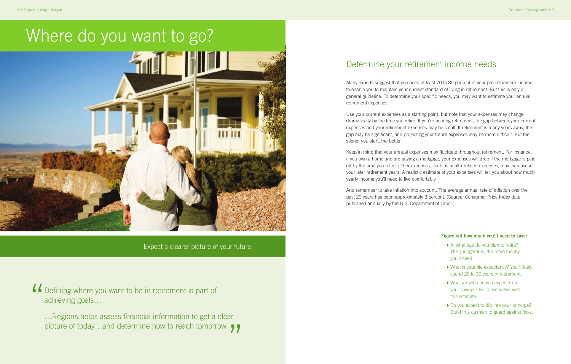# Where do you want to go?



## Determine your retirement income needs

Many experts suggest that you need at least 70 to 80 percent of your pre-retirement income to enable you to maintain your current standard of living in retirement. But this is only a general guideline. To determine your specific needs, you may want to estimate your annual retirement expenses.

Use your current expenses as a starting point, but note that your expenses may change dramatically by the time you retire. If you're nearing retirement, the gap between your current expenses and your retirement expenses may be small. If retirement is many years away, the gap may be significant, and projecting your future expenses may be more difficult. But the sooner you start, the better.

…Regions helps assess financial information to get a clear picture of today...and determine how to reach tomorrow. 77

Keep in mind that your annual expenses may fluctuate throughout retirement. For instance, if you own a home and are paying a mortgage, your expenses will drop if the mortgage is paid off by the time you retire. Other expenses, such as health-related expenses, may increase in your later retirement years. A realistic estimate of your expenses will tell you about how much yearly income you'll need to live comfortably.

- At what age do you plan to retire? The younger it is, the more money you'll need.
- ▶ What is your life expectancy? You'll likely spend 20 to 30 years in retirement.
- 4What growth can you expect from your savings? Be conservative with this estimate.
- ▶ Do you expect to dip into your principal? Build in a cushion to guard against risks.

And remember to take inflation into account. The average annual rate of inflation over the past 20 years has been approximately 3 percent. (Source: Consumer Price Index data published annually by the U.S. Department of Labor.)

Expect a clearer picture of your future

Defining where you want to be in retirement is part of achieving goals… "

#### **Figure out how much you'll need to save:**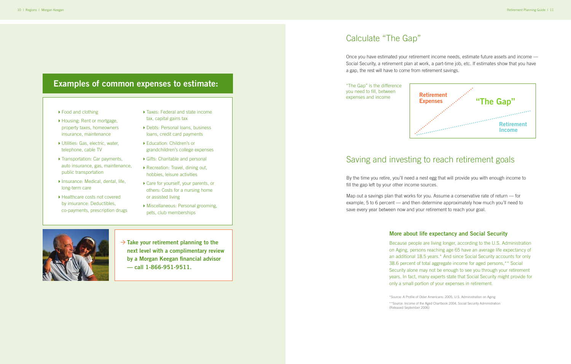## **Examples of common expenses to estimate:**

- ▶ Food and clothing
- ▶ Housing: Rent or mortgage, property taxes, homeowners insurance, maintenance
- ▶ Utilities: Gas, electric, water, telephone, cable TV
- ▶ Transportation: Car payments, auto insurance, gas, maintenance, public transportation
- ▶ Insurance: Medical, dental, life, long-term care
- ▶ Healthcare costs not covered by insurance: Deductibles, co-payments, prescription drugs
- ▶ Taxes: Federal and state income tax, capital gains tax
- ▶ Debts: Personal loans, business loans, credit card payments
- ▶ Education: Children's or grandchildren's college expenses
- 4Gifts: Charitable and personal
- 4Recreation: Travel, dining out, hobbies, leisure activities
- ▶ Care for yourself, your parents, or others: Costs for a nursing home or assisted living
- 4Miscellaneous: Personal grooming, pets, club memberships



 $\rightarrow$  Take your retirement planning to the **next level with a complimentary review by a Morgan Keegan financial advisor — call 1-866-951-9511.**

## Saving and investing to reach retirement goals

By the time you retire, you'll need a nest egg that will provide you with enough income to fill the gap left by your other income sources.

Map out a savings plan that works for you. Assume a conservative rate of return — for example, 5 to 6 percent — and then determine approximately how much you'll need to save every year between now and your retirement to reach your goal.

## **More about life expectancy and Social Security**

Because people are living longer, according to the U.S. Administration on Aging, persons reaching age 65 have an average life expectancy of an additional 18.5 years.\* And since Social Security accounts for only 38.6 percent of total aggregate income for aged persons,\*\* Social Security alone may not be enough to see you through your retirement years. In fact, many experts state that Social Security might provide for only a small portion of your expenses in retirement.

\*Source: A Profile of Older Americans: 2005, U.S. Administration on Aging \*\*Source: Income of the Aged Chartbook 2004, Social Security Administration

(Released September 2006)

## Calculate "The Gap"

Once you have estimated your retirement income needs, estimate future assets and income — Social Security, a retirement plan at work, a part-time job, etc. If estimates show that you have a gap, the rest will have to come from retirement savings.



"The Gap" is the difference you need to fill, between expenses and income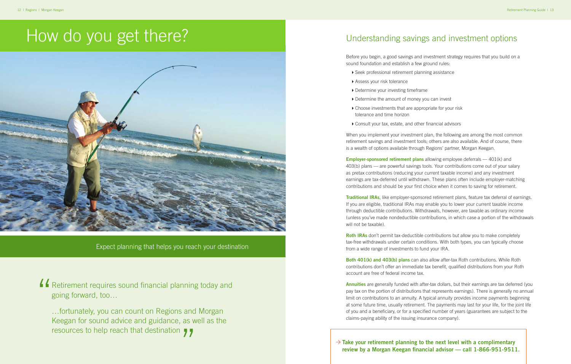# How do you get there?



Expect planning that helps you reach your destination

…fortunately, you can count on Regions and Morgan Keegan for sound advice and guidance, as well as the resources to help reach that destination  $\sqrt{\phantom{a}}$ 

Retirement requires sound financial planning today and going forward, too… "

> $\rightarrow$  Take your retirement planning to the next level with a complimentary **review by a Morgan Keegan financial advisor — call 1-866-951-9511.**

## Understanding savings and investment options

Before you begin, a good savings and investment strategy requires that you build on a sound foundation and establish a few ground rules:

- ▶ Seek professional retirement planning assistance
- ▶ Assess your risk tolerance
- ▶ Determine your investing timeframe
- ▶ Determine the amount of money you can invest
- ▶ Choose investments that are appropriate for your risk tolerance and time horizon
- ▶ Consult your tax, estate, and other financial advisors

When you implement your investment plan, the following are among the most common retirement savings and investment tools; others are also available. And of course, there is a wealth of options available through Regions' partner, Morgan Keegan.

**Roth IRAs** don't permit tax-deductible contributions but allow you to make completely tax-free withdrawals under certain conditions. With both types, you can typically choose from a wide range of investments to fund your IRA.

**Both 401(k) and 403(b) plans** can also allow after-tax Roth contributions. While Roth contributions don't offer an immediate tax benefit, qualified distributions from your Roth account are free of federal income tax.

**Employer-sponsored retirement plans** allowing employee deferrals — 401(k) and 403(b) plans — are powerful savings tools. Your contributions come out of your salary as pretax contributions (reducing your current taxable income) and any investment earnings are tax-deferred until withdrawn. These plans often include employer-matching contributions and should be your first choice when it comes to saving for retirement.

**Traditional IRAs**, like employer-sponsored retirement plans, feature tax deferral of earnings. If you are eligible, traditional IRAs may enable you to lower your current taxable income through deductible contributions. Withdrawals, however, are taxable as ordinary income (unless you've made nondeductible contributions, in which case a portion of the withdrawals will not be taxable).

**Annuities** are generally funded with after-tax dollars, but their earnings are tax deferred (you pay tax on the portion of distributions that represents earnings). There is generally no annual limit on contributions to an annuity. A typical annuity provides income payments beginning at some future time, usually retirement. The payments may last for your life, for the joint life of you and a beneficiary, or for a specified number of years (guarantees are subject to the claims-paying ability of the issuing insurance company).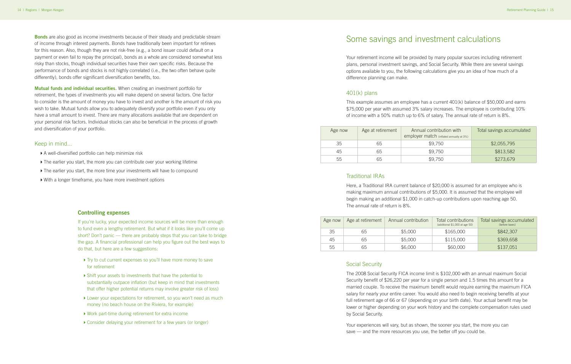## Some savings and investment calculations

Your retirement income will be provided by many popular sources including retirement plans, personal investment savings, and Social Security. While there are several savings options available to you, the following calculations give you an idea of how much of a difference planning can make.

## 401(k) plans

This example assumes an employee has a current 401(k) balance of \$50,000 and earns \$75,000 per year with assumed 3% salary increases. The employee is contributing 10% of income with a 50% match up to 6% of salary. The annual rate of return is 8%.

| Age now | Age at retirement | Annual contribution with<br>employer match (inflated annually at 3%) | Total savings accumulated |
|---------|-------------------|----------------------------------------------------------------------|---------------------------|
| 35      | 65                | \$9,750                                                              | \$2,055,795               |
| 45      | 65                | \$9,750                                                              | \$813,582                 |
| 55      | 65                | \$9,750                                                              | \$273,679                 |

### Traditional IRAs

Here, a Traditional IRA current balance of \$20,000 is assumed for an employee who is making maximum annual contributions of \$5,000. It is assumed that the employee will begin making an additional \$1,000 in catch-up contributions upon reaching age 50. The annual rate of return is 8%.

| Age now | Age at retirement | Annual contribution | Total contributions<br>(additional \$1,000 at age 50) | Total savings accumulated<br>(before taxes) |
|---------|-------------------|---------------------|-------------------------------------------------------|---------------------------------------------|
| 35      | 65                | \$5,000             | \$165,000                                             | \$842,307                                   |
| 45      | 65                | \$5,000             | \$115,000                                             | \$369,658                                   |
| 55      | 65                | \$6,000             | \$60,000                                              | \$137,051                                   |

## Social Security

- 4A well-diversified portfolio can help minimize risk
- $\triangleright$  The earlier you start, the more you can contribute over your working lifetime
- $\triangleright$  The earlier you start, the more time your investments will have to compound
- $\triangleright$  With a longer timeframe, you have more investment options

The 2008 Social Security FICA income limit is \$102,000 with an annual maximum Social Security benefit of \$26,220 per year for a single person and 1.5 times this amount for a married couple. To receive the maximum benefit would require earning the maximum FICA salary for nearly your entire career. You would also need to begin receiving benefits at your full retirement age of 66 or 67 (depending on your birth date). Your actual benefit may be lower or higher depending on your work history and the complete compensation rules used by Social Security.

If you're lucky, your expected income sources will be more than enough to fund even a lengthy retirement. But what if it looks like you'll come up short? Don't panic — there are probably steps that you can take to bridge the gap. A financial professional can help you figure out the best ways to do that, but here are a few suggestions:

- ▶ Try to cut current expenses so you'll have more money to save for retirement
- ▶ Shift your assets to investments that have the potential to substantially outpace inflation (but keep in mind that investments that offer higher potential returns may involve greater risk of loss)
- ▶ Lower your expectations for retirement, so you won't need as much money (no beach house on the Riviera, for example)
- ▶ Work part-time during retirement for extra income
- ▶ Consider delaying your retirement for a few years (or longer)

Your experiences will vary, but as shown, the sooner you start, the more you can save — and the more resources you use, the better off you could be.

**Bonds** are also good as income investments because of their steady and predictable stream of income through interest payments. Bonds have traditionally been important for retirees for this reason. Also, though they are not risk-free (e.g., a bond issuer could default on a payment or even fail to repay the principal), bonds as a whole are considered somewhat less risky than stocks, though individual securities have their own specific risks. Because the performance of bonds and stocks is not highly correlated (i.e., the two often behave quite differently), bonds offer significant diversification benefits, too.

**Mutual funds and individual securities.** When creating an investment portfolio for retirement, the types of investments you will make depend on several factors. One factor to consider is the amount of money you have to invest and another is the amount of risk you wish to take. Mutual funds allow you to adequately diversify your portfolio even if you only have a small amount to invest. There are many allocations available that are dependent on your personal risk factors. Individual stocks can also be beneficial in the process of growth and diversification of your portfolio.

#### Keep in mind...

### **Controlling expenses**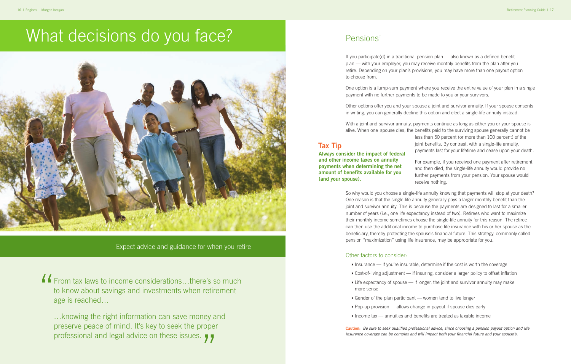Expect advice and guidance for when you retire

# What decisions do you face?



…knowing the right information can save money and preserve peace of mind. It's key to seek the proper professional and legal advice on these issues.<br>
7

From tax laws to income considerations…there's so much to know about savings and investments when retirement age is reached… "

## Pensions†

If you participate(d) in a traditional pension plan — also known as a defined benefit plan — with your employer, you may receive monthly benefits from the plan after you retire. Depending on your plan's provisions, you may have more than one payout option to choose from.

One option is a lump-sum payment where you receive the entire value of your plan in a single payment with no further payments to be made to you or your survivors.

Other options offer you and your spouse a joint and survivor annuity. If your spouse consents in writing, you can generally decline this option and elect a single-life annuity instead.

With a joint and survivor annuity, payments continue as long as either you or your spouse is alive. When one spouse dies, the benefits paid to the surviving spouse generally cannot be less than 50 percent (or more than 100 percent) of the joint benefits. By contrast, with a single-life annuity, payments last for your lifetime and cease upon your death.

> For example, if you received one payment after retirement and then died, the single-life annuity would provide no further payments from your pension. Your spouse would receive nothing.

▶ Cost-of-living adjustment — if insuring, consider a larger policy to offset inflation  $\blacktriangleright$  Life expectancy of spouse — if longer, the joint and survivor annuity may make

So why would you choose a single-life annuity knowing that payments will stop at your death? One reason is that the single-life annuity generally pays a larger monthly benefit than the joint and survivor annuity. This is because the payments are designed to last for a smaller number of years (i.e., one life expectancy instead of two). Retirees who want to maximize their monthly income sometimes choose the single-life annuity for this reason. The retiree can then use the additional income to purchase life insurance with his or her spouse as the beneficiary, thereby protecting the spouse's financial future. This strategy, commonly called pension "maximization" using life insurance, may be appropriate for you.

## Other factors to consider:

- $\blacktriangleright$  Insurance if you're insurable, determine if the cost is worth the coverage
- 
- more sense
- $\blacktriangleright$  Gender of the plan participant women tend to live longer
- $\rightarrow$  Pop-up provision allows change in payout if spouse dies early
- $\blacktriangleright$  Income tax annuities and benefits are treated as taxable income

**Caution:** *Be sure to seek qualified professional advice, since choosing a pension payout option and life insurance coverage can be complex and will impact both your financial future and your spouse's.*

**Always consider the impact of federal and other income taxes on annuity payments when determining the net amount of benefits available for you (and your spouse).**

**Tax Tip**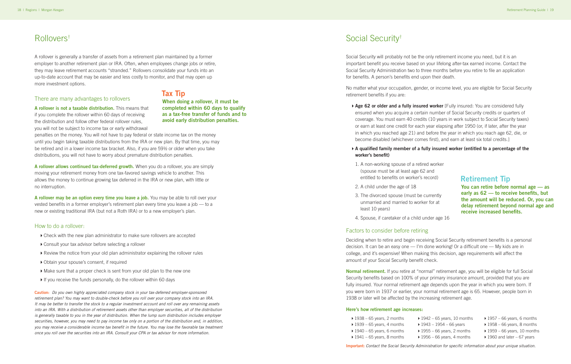## Rollovers†

A rollover is generally a transfer of assets from a retirement plan maintained by a former employer to another retirement plan or IRA. Often, when employees change jobs or retire, they may leave retirement accounts "stranded." Rollovers consolidate your funds into an up-to-date account that may be easier and less costly to monitor, and that may open up more investment options.

#### There are many advantages to rollovers

**A rollover is not a taxable distribution.** This means that if you complete the rollover within 60 days of receiving the distribution and follow other federal rollover rules, you will not be subject to income tax or early withdrawal

penalties on the money. You will not have to pay federal or state income tax on the money until you begin taking taxable distributions from the IRA or new plan. By that time, you may be retired and in a lower income tax bracket. Also, if you are 59½ or older when you take distributions, you will not have to worry about premature distribution penalties.

**A rollover allows continued tax-deferred growth.** When you do a rollover, you are simply moving your retirement money from one tax-favored savings vehicle to another. This allows the money to continue growing tax deferred in the IRA or new plan, with little or no interruption.

**A rollover may be an option every time you leave a job.** You may be able to roll over your vested benefits in a former employer's retirement plan every time you leave a job — to a new or existing traditional IRA (but not a Roth IRA) or to a new employer's plan.

## How to do a rollover:

- ▶ Check with the new plan administrator to make sure rollovers are accepted
- ▶ Consult your tax advisor before selecting a rollover
- ▶ Review the notice from your old plan administrator explaining the rollover rules
- 4Obtain your spouse's consent, if required
- 4Make sure that a proper check is sent from your old plan to the new one
- If you receive the funds personally, do the rollover within 60 days

**Age 62 or older and a fully insured worker** [Fully insured: You are considered fully ensured when you acquire a certain number of Social Security credits or quarters of coverage. You must earn 40 credits (10 years in work subject to Social Security taxes) or earn at least one credit for each year elapsing after 1950 (or, if later, after the year in which you reached age 21) and before the year in which you reach age 62, die, or

**Caution:** *Do you own highly appreciated company stock in your tax-deferred employer-sponsored retirement plan? You may want to double-check before you roll over your company stock into an IRA. It may be better to transfer the stock to a regular investment account and roll over any remaining assets into an IRA. With a distribution of retirement assets other than employer securities, all of the distribution is generally taxable to you in the year of distribution. When the lump sum distribution includes employer securities, however, you may need to pay income tax only on a portion of the distribution and, in addition, you may receive a considerable income tax benefit in the future. You may lose the favorable tax treatment once you roll over the securities into an IRA. Consult your CPA or tax advisor for more information.*

**When doing a rollover, it must be completed within 60 days to qualify as a tax-free transfer of funds and to avoid early distribution penalties.**

**Tax Tip**

## Social Security†

Social Security will probably not be the only retirement income you need, but it is an important benefit you receive based on your lifelong after-tax earned income. Contact the Social Security Administration two to three months before you retire to file an application for benefits. A person's benefits end upon their death.

No matter what your occupation, gender, or income level, you are eligible for Social Security retirement benefits if you are:

become disabled (whichever comes first), and earn at least six total credits.]

## 4**A qualified family member of a fully insured worker (entitled to a percentage of the**

## **worker's benefit)**

- 1. A non-working spouse of a retired w (spouse must be at least age 62 and entitled to benefits on worker's record
- 2. A child under the age of 18
- 3. The divorced spouse (must be curre unmarried and married to worker for least 10 years)
- 4. Spouse, if caretaker of a child under

## Factors to consider before retiring

Deciding when to retire and begin receiving Social Security retirement benefits is a personal decision. It can be an easy one — I'm done working! Or a difficult one — My kids are in college, and it's expensive! When making this decision, age requirements will affect the amount of your Social Security benefit check.

**Normal retirement.** If you retire at "normal" retirement age, you will be eligible for full Social Security benefits based on 100% of your primary insurance amount, provided that you are fully insured. Your normal retirement age depends upon the year in which you were born. If you were born in 1937 or earlier, your normal retirement age is 65. However, people born in 1938 or later will be affected by the increasing retirement age.

#### **Here's how retirement age increases:**

- $\blacktriangleright$  1938 65 years, 2 months
- $\blacktriangleright$  1939 65 years, 4 months
- $\blacktriangleright$  1940 65 years, 6 months
- $\blacktriangleright$  1941 65 years, 8 months
- 

**Important:** *Contact the Social Security Administration for specific information about your unique situation.*

| vorker<br>d    |                                                                                                                                                                                                     |
|----------------|-----------------------------------------------------------------------------------------------------------------------------------------------------------------------------------------------------|
| rd)            | <b>Retirement Tip</b>                                                                                                                                                                               |
| ently<br>ır at | You can retire before normal age - as<br>early as 62 - to receive benefits, but<br>the amount will be reduced. Or, you can<br>delay retirement beyond normal age and<br>receive increased benefits. |
| r age 16       |                                                                                                                                                                                                     |
|                |                                                                                                                                                                                                     |

- $\rightarrow$  1942 65 years, 10 months
- $1943 1954 66$  years
- $\blacktriangleright$  1955 66 years, 2 months
- $\blacktriangleright$  1957 66 years, 6 months
- $\rightarrow$  1958 66 years, 8 months
	- $\rightarrow$  1959 66 years, 10 months
- $\rightarrow$  1956 66 years, 4 months
- $\rightarrow$  1960 and later 67 years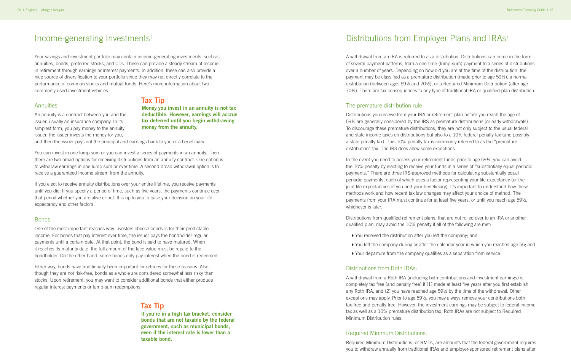## Income-generating Investments†

Your savings and investment portfolio may contain income-generating investments, such as annuities, bonds, preferred stocks, and CDs. These can provide a steady stream of income in retirement through earnings or interest payments. In addition, these can also provide a nice source of diversification to your portfolio since they may not directly correlate to the performance of common stocks and mutual funds. Here's more information about two commonly used investment vehicles.

#### **Annuities**

An annuity is a contract between you and the issuer, usually an insurance company. In its simplest form, you pay money to the annuity issuer, the issuer invests the money for you,

and then the issuer pays out the principal and earnings back to you or a beneficiary.

You can invest in one lump sum or you can invest a series of payments in an annuity. Then there are two broad options for receiving distributions from an annuity contract. One option is to withdraw earnings in one lump sum or over time. A second broad withdrawal option is to receive a guaranteed income stream from the annuity.

If you elect to receive annuity distributions over your entire lifetime, you receive payments until you die. If you specify a period of time, such as five years, the payments continue over that period whether you are alive or not. It is up to you to base your decision on your life expectancy and other factors.

#### Bonds

One of the most important reasons why investors choose bonds is for their predictable income. For bonds that pay interest over time, the issuer pays the bondholder regular payments until a certain date. At that point, the bond is said to have matured. When it reaches its maturity date, the full amount of the face value must be repaid to the bondholder. On the other hand, some bonds only pay interest when the bond is redeemed.

Either way, bonds have traditionally been important for retirees for these reasons. Also, though they are not risk-free, bonds as a whole are considered somewhat less risky than stocks. Upon retirement, you may want to consider additional bonds that either produce regular interest payments or lump-sum redemptions.

**Money you invest in an annuity is not tax deductible. However, earnings will accrue tax deferred until you begin withdrawing money from the annuity. Tax Tip**

**If you're in a high tax bracket, consider bonds that are not taxable by the federal government, such as municipal bonds, even if the interest rate is lower than a taxable bond.**

## **Tax Tip**

## Distributions from Employer Plans and IRAs†

A withdrawal from an IRA is referred to as a distribution. Distributions can come in the form of several payment patterns, from a one-time (lump-sum) payment to a series of distributions over a number of years. Depending on how old you are at the time of the distribution, the payment may be classified as a premature distribution (made prior to age 59½), a normal distribution (between ages 59½ and 70½), or a Required Minimum Distribution (after age 70½). There are tax consequences to any type of traditional IRA or qualified plan distribution.

## The premature distribution rule

Distributions you receive from your IRA or retirement plan before you reach the age of 59½ are generally considered by the IRS as premature distributions (or early withdrawals). To discourage these premature distributions, they are not only subject to the usual federal and state income taxes on distributions but also to a 10% federal penalty tax (and possibly a state penalty tax). This 10% penalty tax is commonly referred to as the "premature distribution" tax. The IRS does allow some exceptions.

In the event you need to access your retirement funds prior to age 59½, you can avoid the 10% penalty by electing to receive your funds in a series of "substantially equal periodic payments." There are three IRS-approved methods for calculating substantially equal periodic payments, each of which uses a factor representing your life expectancy (or the joint life expectancies of you and your beneficiary). It's important to understand how these methods work and how recent tax law changes may affect your choice of method. The payments from your IRA must continue for at least five years, or until you reach age 59½, whichever is later.

Distributions from qualified retirement plans, that are not rolled over to an IRA or another qualified plan, may avoid the 10% penalty if all of the following are met:

- ▶ You received the distribution after you left the company; and
- 4You left the company during or after the calendar year in which you reached age 55; and
- ▶ Your departure from the company qualifies as a separation from service.

## Distributions from Roth IRAs:

A withdrawal from a Roth IRA (including both contributions and investment earnings) is completely tax free (and penalty free) if (1) made at least five years after you first establish any Roth IRA, and (2) you have reached age 59½ by the time of the withdrawal. Other exceptions may apply. Prior to age 59½, you may always remove your contributions both tax-free and penalty free. However, the investment earnings may be subject to federal income tax as well as a 10% premature distribution tax. Roth IRAs are not subject to Required Minimum Distribution rules.

### Required Minimum Distributions: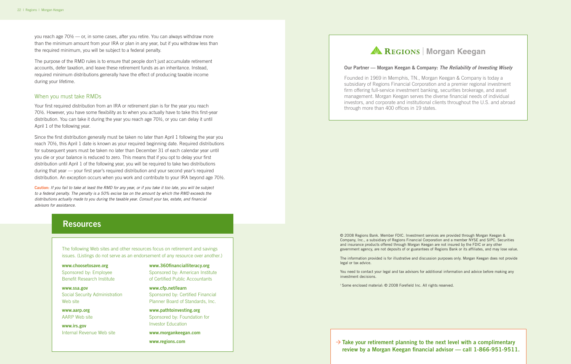you reach age 70½ — or, in some cases, after you retire. You can always withdraw more than the minimum amount from your IRA or plan in any year, but if you withdraw less than the required minimum, you will be subject to a federal penalty.

The purpose of the RMD rules is to ensure that people don't just accumulate retirement accounts, defer taxation, and leave these retirement funds as an inheritance. Instead, required minimum distributions generally have the effect of producing taxable income during your lifetime.

## When you must take RMDs

Your first required distribution from an IRA or retirement plan is for the year you reach 70½. However, you have some flexibility as to when you actually have to take this first-year distribution. You can take it during the year you reach age 70½, or you can delay it until April 1 of the following year.

Since the first distribution generally must be taken no later than April 1 following the year you reach 70½, this April 1 date is known as your required beginning date. Required distributions for subsequent years must be taken no later than December 31 of each calendar year until you die or your balance is reduced to zero. This means that if you opt to delay your first distribution until April 1 of the following year, you will be required to take two distributions during that year — your first year's required distribution and your second year's required distribution. An exception occurs when you work and contribute to your IRA beyond age 70½.

**Caution:** *If you fail to take at least the RMD for any year, or if you take it too late, you will be subject to a federal penalty. The penalty is a 50% excise tax on the amount by which the RMD exceeds the distributions actually made to you during the taxable year. Consult your tax, estate, and financial advisors for assistance.*

## **Resources**

**www.choosetosave.org** Sponsored by: Employee Benefit Research Institute

> $\rightarrow$  Take your retirement planning to the next level with a complimentary **review by a Morgan Keegan financial advisor — call 1-866-951-9511.**

**www.ssa.gov** Social Security Administration Web site

**www.aarp.org**  AARP Web site

**www.irs.gov** Internal Revenue Web site **www.360financialliteracy.org** Sponsored by: American Institute of Certified Public Accountants

**www.cfp.net/learn** Sponsored by: Certified Financial Planner Board of Standards, Inc.

**www.pathtoinvesting.org** Sponsored by: Foundation for Investor Education

**www.morgankeegan.com**

**www.regions.com**

## **AL REGIONS | Morgan Keegan**

The following Web sites and other resources focus on retirement and savings issues. (Listings do not serve as an endorsement of any resource over another.) © 2008 Regions Bank. Member FDIC. Investment services are provided through Morgan Keegan & Company, Inc., a subsidiary of Regions Financial Corporation and a member NYSE and SIPC. Securities and insurance products offered through Morgan Keegan are not insured by the FDIC or any other government agency, are not deposits of or guarantees of Regions Bank or its affiliates, and may lose value.

The information provided is for illustrative and discussion purposes only. Morgan Keegan does not provide legal or tax advice.

You need to contact your legal and tax advisors for additional information and advice before making any investment decisions.

† Some enclosed material: © 2008 Forefield Inc. All rights reserved.

### **Our Partner — Morgan Keegan & Company:** *The Reliability of Investing Wisely*

Founded in 1969 in Memphis, TN., Morgan Keegan & Company is today a subsidiary of Regions Financial Corporation and a premier regional investment firm offering full-service investment banking, securities brokerage, and asset management. Morgan Keegan serves the diverse financial needs of individual investors, and corporate and institutional clients throughout the U.S. and abroad through more than 400 offices in 19 states.